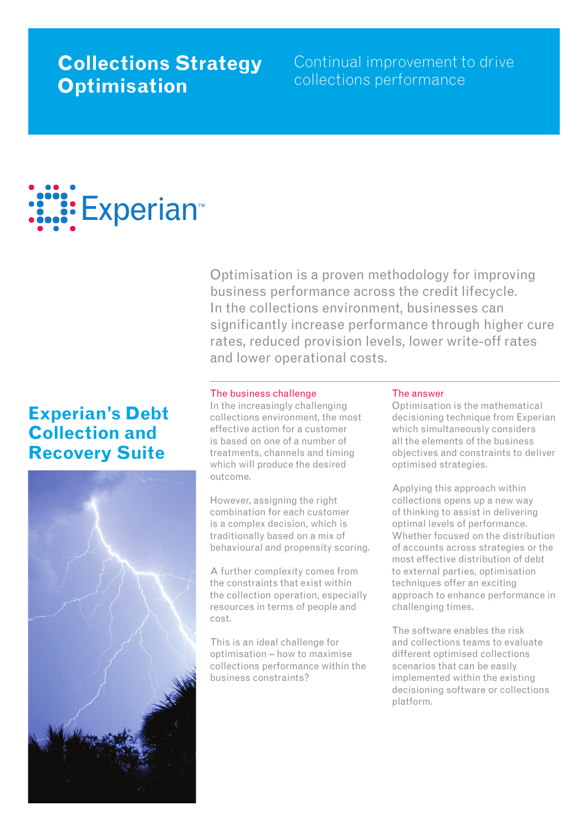## **Collections Strategy Optimisation**

Continual improvement to drive collections performance

# : Experian™

Optimisation is a proven methodology for improving business performance across the credit lifecycle. In the collections environment, businesses can significantly increase performance through higher cure rates, reduced provision levels, lower write-off rates and lower operational costs.

## **Experian's Debt Collection and Recovery Suite**



#### The business challenge

In the increasingly challenging collections environment, the most effective action for a customer is based on one of a number of treatments, channels and timing which will produce the desired outcome.

However, assigning the right combination for each customer is a complex decision, which is traditionally based on a mix of behavioural and propensity scoring.

A further complexity comes from the constraints that exist within the collection operation, especially resources in terms of people and cost.

This is an ideal challenge for optimisation – how to maximise collections performance within the business constraints?

#### The answer

Optimisation is the mathematical decisioning technique from Experian which simultaneously considers all the elements of the business objectives and constraints to deliver optimised strategies.

Applying this approach within collections opens up a new way of thinking to assist in delivering optimal levels of performance. Whether focused on the distribution of accounts across strategies or the most effective distribution of debt to external parties, optimisation techniques offer an exciting approach to enhance performance in challenging times.

The software enables the risk and collections teams to evaluate different optimised collections scenarios that can be easily implemented within the existing decisioning software or collections platform.